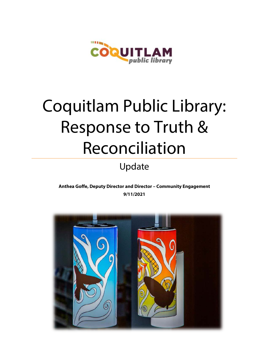

# Coquitlam Public Library: Response to Truth & Reconciliation

# Update

#### **Anthea Goffe, Deputy Director and Director – Community Engagement 9/11/2021**

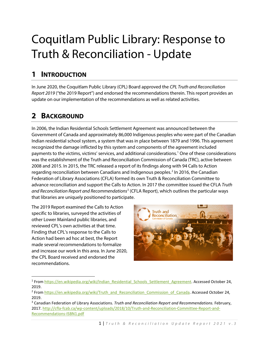# Coquitlam Public Library: Response to Truth & Reconciliation - Update

## **1 INTRODUCTION**

In June 2020, the Coquitlam Public Library (CPL) Board approved the *CPL Truth and Reconciliation Report 2019* ("the 2019 Report") and endorsed the recommendations therein. This report provides an update on our implementation of the recommendations as well as related activities.

## **2 BACKGROUND**

In 2006, the Indian Residential Schools Settlement Agreement was announced between the Government of Canada and approximately 86,000 Indigenous peoples who were part of the Canadian Indian residential school system, a system that was in place between 1879 and 1996. This agreement recognized the damage inflicted by this system and components of the agreement included payments to the victims, victims' services, and additional considerations[.1](#page-1-0) One of these considerations was the establishment of the Truth and Reconciliation Commission of Canada (TRC), active between 2008 and 2015. In 2015, the TRC released a report of its findings along with 94 Calls to Action regarding reconciliation between Canadians and Indigenous peoples.<sup>[2](#page-1-1)</sup> In 2016, the Canadian Federation of Library Associations (CFLA) formed its own Truth & Reconciliation Committee to advance reconciliation and support the Calls to Action. In 2017 the committee issued the CFLA *Truth and Reconciliation Report and Recommendations*[3](#page-1-2) (CFLA Report), which outlines the particular ways that libraries are uniquely positioned to participate.

The 2019 Report examined the Calls to Action specific to libraries, surveyed the activities of other Lower Mainland public libraries, and reviewed CPL's own activities at that time. Finding that CPL's response to the Calls to Action had been ad hoc at best, the Report made several recommendations to formalize and increase our work in this area. In June 2020, the CPL Board received and endorsed the recommendations.



<sup>&</sup>lt;sup>1</sup> From [https://en.wikipedia.org/wiki/Indian\\_Residential\\_Schools\\_Settlement\\_Agreement.](https://en.wikipedia.org/wiki/Indian_Residential_Schools_Settlement_Agreement) Accessed October 24, 2019.

<span id="page-1-1"></span><span id="page-1-0"></span><sup>&</sup>lt;sup>2</sup> From [https://en.wikipedia.org/wiki/Truth\\_and\\_Reconciliation\\_Commission\\_of\\_Canada.](https://en.wikipedia.org/wiki/Truth_and_Reconciliation_Commission_of_Canada) Accessed October 24, 2019.

<span id="page-1-2"></span><sup>3</sup> Canadian Federation of Library Associations. *Truth and Reconciliation Report and Recommendations.* February, 2017. [http://cfla-fcab.ca/wp-content/uploads/2018/10/Truth-and-Reconciliation-Committee-Report-and-](http://cfla-fcab.ca/wp-content/uploads/2018/10/Truth-and-Reconciliation-Committee-Report-and-Recommendations-ISBN1.pdf)[Recommendations-ISBN1.pdf](http://cfla-fcab.ca/wp-content/uploads/2018/10/Truth-and-Reconciliation-Committee-Report-and-Recommendations-ISBN1.pdf)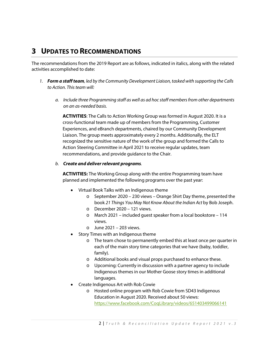### **3 UPDATES TO RECOMMENDATIONS**

The recommendations from the 2019 Report are as follows, indicated in italics, along with the related activities accomplished to date:

- *1. Form a staff team, led by the Community Development Liaison, tasked with supporting the Calls to Action. This team will:*
	- *a. Include three Programming staff as well as ad hoc staff members from other departments on an as-needed basis.*

**ACTIVITIES**: The Calls to Action Working Group was formed in August 2020. It is a cross-functional team made up of members from the Programming, Customer Experiences, and eBranch departments, chaired by our Community Development Liaison. The group meets approximately every 2 months. Additionally, the ELT recognized the sensitive nature of the work of the group and formed the Calls to Action Steering Committee in April 2021 to receive regular updates, team recommendations, and provide guidance to the Chair.

#### *b. Create and deliver relevant programs.*

**ACTIVITIES:** The Working Group along with the entire Programming team have planned and implemented the following programs over the past year:

- Virtual Book Talks with an Indigenous theme
	- o September 2020 230 views Orange Shirt Day theme, presented the book *21 Things You May Not Know About the Indian Act* by Bob Joseph.
	- o December 2020 121 views.
	- o March 2021 included guest speaker from a local bookstore 114 views.
	- $\circ$  June 2021 203 views.
- Story Times with an Indigenous theme
	- o The team chose to permanently embed this at least once per quarter in each of the main story time categories that we have (baby, toddler, family).
	- o Additional books and visual props purchased to enhance these.
	- o Upcoming: Currently in discussion with a partner agency to include Indigenous themes in our Mother Goose story times in additional languages.
- Create Indigenous Art with Rob Cowie
	- o Hosted online program with Rob Cowie from SD43 Indigenous Education in August 2020. Received about 50 views: <https://www.facebook.com/CoqLibrary/videos/651403499066141>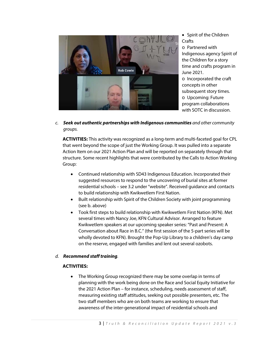

• Spirit of the Children **Crafts** o Partnered with Indigenous agency Spirit of the Children for a story time and crafts program in June 2021. o Incorporated the craft concepts in other subsequent story times. o Upcoming: Future program collaborations with SOTC in discussion.

*c. Seek out authentic partnerships with Indigenous communities and other community groups.*

**ACTIVITIES:** This activity was recognized as a long-term and multi-faceted goal for CPL that went beyond the scope of just the Working Group. It was pulled into a separate Action Item on our 2021 Action Plan and will be reported on separately through that structure. Some recent highlights that were contributed by the Calls to Action Working Group:

- Continued relationship with SD43 Indigenous Education. Incorporated their suggested resources to respond to the uncovering of burial sites at former residential schools – see 3.2 under "website". Received guidance and contacts to build relationship with Kwikwetlem First Nation.
- Built relationship with Spirit of the Children Society with joint programming (see b. above)
- Took first steps to build relationship with Kwikwetlem First Nation (KFN). Met several times with Nancy Joe, KFN Cultural Advisor. Arranged to feature Kwikwetlem speakers at our upcoming speaker series: "Past and Present: A Conversation about Race in B.C." (the first session of the 5-part series will be wholly devoted to KFN). Brought the Pop-Up Library to a children's day camp on the reserve, engaged with families and lent out several ozobots.

#### *d. Recommend staff training.*

#### **ACTIVITIES:**

• The Working Group recognized there may be some overlap in terms of planning with the work being done on the Race and Social Equity Initiative for the 2021 Action Plan – for instance, scheduling, needs assessment of staff, measuring existing staff attitudes, seeking out possible presenters, etc. The two staff members who are on both teams are working to ensure that awareness of the inter-generational impact of residential schools and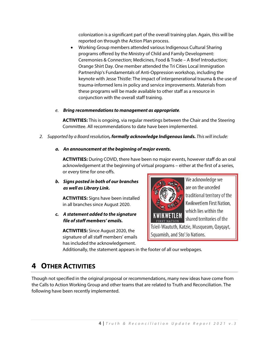colonization is a significant part of the overall training plan. Again, this will be reported on through the Action Plan process.

- Working Group members attended various Indigenous Cultural Sharing programs offered by the Ministry of Child and Family Development: Ceremonies & Connection; Medicines, Food & Trade – A Brief Introduction; Orange Shirt Day. One member attended the Tri Cities Local Immigration Partnership's Fundamentals of Anti-Oppression workshop, including the keynote with Jesse Thistle: The impact of intergenerational trauma & the use of trauma-informed lens in policy and service improvements. Materials from these programs will be made available to other staff as a resource in conjunction with the overall staff training.
- *e. Bring recommendations to management as appropriate.*

**ACTIVITIES:** This is ongoing, via regular meetings between the Chair and the Steering Committee. All recommendations to date have been implemented.

- *2. Supported by a Board resolution, formally acknowledge Indigenous lands. This will include:*
	- *a. An announcement at the beginning of major events.*

**ACTIVITIES:** During COVID, there have been no major events, however staff do an oral acknowledgement at the beginning of virtual programs – either at the first of a series, or every time for one-offs.

*b. Signs posted in both of our branches as well as Library Link.*

**ACTIVITIES:** Signs have been installed in all branches since August 2020.

*c. A statement added to the signature file of staff members' emails.*

**ACTIVITIES:** Since August 2020, the signature of all staff members' emails has included the acknowledgement.



We acknowledge we are on the unceded traditional territory of the Kwikwetlem First Nation, which lies within the shared territories of the

Tsleil-Waututh, Katzie, Musqueam, Qayqayt, Squamish, and Sto': lo Nations.

Additionally, the statement appears in the footer of all our webpages.

### **4 OTHER ACTIVITIES**

Though not specified in the original proposal or recommendations, many new ideas have come from the Calls to Action Working Group and other teams that are related to Truth and Reconciliation. The following have been recently implemented.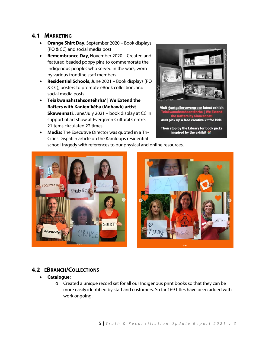#### **4.1 MARKETING**

- **Orange Shirt Day**, September 2020 Book displays (PO & CC) and social media post
- **Remembrance Day**, November 2020 Created and featured beaded poppy pins to commemorate the Indigenous peoples who served in the wars, worn by various frontline staff members
- **Residential Schools**, June 2021 Book displays (PO & CC), posters to promote eBook collection, and social media posts
- **Teiakwanahstahsontéhrha' | We Extend the Rafters with Kanien'kéha (Mohawk) artist Skawennati**, June/July 2021 – book display at CC in support of art show at Evergreen Cultural Centre. 21items circulated 22 times.
- 

Visit @artgalleryevergreen latest exhibit **Teis** AND pick up a free creative kit for kids!

Then stop by the Library for book picks inspired by the exhibit

• **Media:** The Executive Director was quoted in a Tri-Cities Dispatch article on the Kamloops residential school tragedy with references to our physical and online resources.





#### **4.2 EBRANCH/COLLECTIONS**

#### • **Catalogue:**

o Created a unique record set for all our Indigenous print books so that they can be more easily identified by staff and customers. So far 169 titles have been added with work ongoing.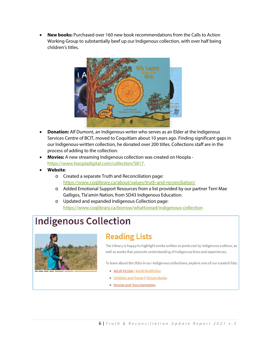• **New books:** Purchased over 160 new book recommendations from the Calls to Action Working Group to substantially beef up our Indigenous collection, with over half being children's titles.



- **Donation:** Alf Dumont, an Indigenous-writer who serves as an Elder at the Indigenous Services Centre of BCIT, moved to Coquitlam about 10 years ago. Finding significant gaps in our Indigenous-written collection, he donated over 200 titles. Collections staff are in the process of adding to the collection.
- **Movies:** A new streaming Indigenous collection was created on Hoopla [https://www.hoopladigital.com/collection/5817.](https://www.hoopladigital.com/collection/5817)
- **Website**:
	- o Created a separate Truth and Reconciliation page: <https://www.coqlibrary.ca/about/values/truth-and-reconciliation/>
	- o Added Emotional Support Resources from a list provided by our partner Terri Mae Galligos, Tla'amin Nation, from SD43 Indigenous Education.
	- o Updated and expanded Indigenous Collection page: <https://www.coqlibrary.ca/borrow/whattoread/indigenous-collection>

# **Indigenous Collection**



# **Reading Lists**

The Library is happy to highlight works written or produced by Indigenous authors, as well as works that promote understanding of Indigenous lives and experiences.

To learn about the titles in our Indigenous collections, explore one of our curated lists:

- · Adult Fiction | Adult Nonfiction
- · Children and Teens | Picture Books
- Movies and Documentaries